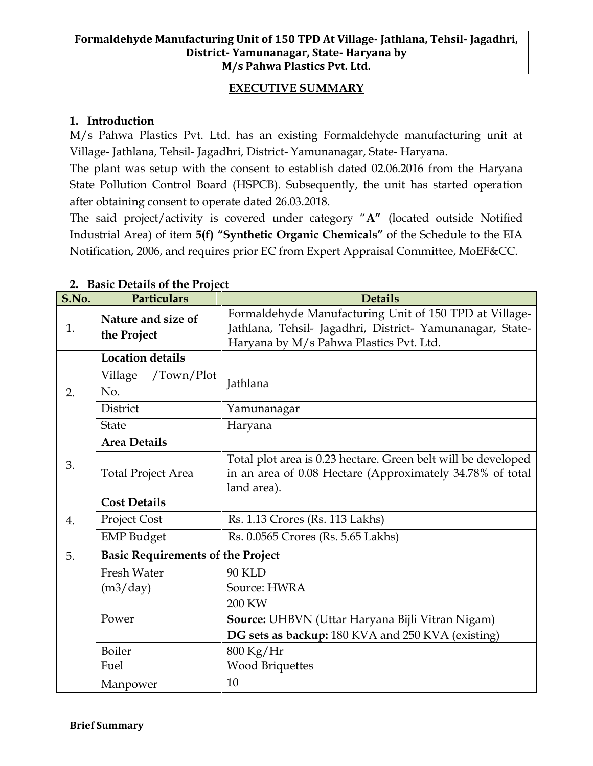## **EXECUTIVE SUMMARY**

### **1. Introduction**

M/s Pahwa Plastics Pvt. Ltd. has an existing Formaldehyde manufacturing unit at Village- Jathlana, Tehsil- Jagadhri, District- Yamunanagar, State- Haryana.

The plant was setup with the consent to establish dated 02.06.2016 from the Haryana State Pollution Control Board (HSPCB). Subsequently, the unit has started operation after obtaining consent to operate dated 26.03.2018.

The said project/activity is covered under category "**A"** (located outside Notified Industrial Area) of item **5(f) "Synthetic Organic Chemicals"** of the Schedule to the EIA Notification, 2006, and requires prior EC from Expert Appraisal Committee, MoEF&CC.

| S.No. | Particulars                              | <b>Details</b>                                                                                                                                                 |  |
|-------|------------------------------------------|----------------------------------------------------------------------------------------------------------------------------------------------------------------|--|
| 1.    | Nature and size of<br>the Project        | Formaldehyde Manufacturing Unit of 150 TPD at Village-<br>Jathlana, Tehsil- Jagadhri, District- Yamunanagar, State-<br>Haryana by M/s Pahwa Plastics Pvt. Ltd. |  |
|       | <b>Location details</b>                  |                                                                                                                                                                |  |
| 2.    | Village<br>$/$ Town $/$ Plot<br>No.      | Jathlana                                                                                                                                                       |  |
|       | District                                 | Yamunanagar                                                                                                                                                    |  |
|       | <b>State</b>                             | Haryana                                                                                                                                                        |  |
|       | <b>Area Details</b>                      |                                                                                                                                                                |  |
| 3.    | <b>Total Project Area</b>                | Total plot area is 0.23 hectare. Green belt will be developed<br>in an area of 0.08 Hectare (Approximately 34.78% of total<br>land area).                      |  |
|       | <b>Cost Details</b>                      |                                                                                                                                                                |  |
| 4.    | Project Cost                             | Rs. 1.13 Crores (Rs. 113 Lakhs)                                                                                                                                |  |
|       | <b>EMP</b> Budget                        | Rs. 0.0565 Crores (Rs. 5.65 Lakhs)                                                                                                                             |  |
| 5.    | <b>Basic Requirements of the Project</b> |                                                                                                                                                                |  |
|       | <b>Fresh Water</b>                       | <b>90 KLD</b>                                                                                                                                                  |  |
|       | (m3/day)                                 | Source: HWRA                                                                                                                                                   |  |
|       | Power                                    | 200 KW                                                                                                                                                         |  |
|       |                                          | Source: UHBVN (Uttar Haryana Bijli Vitran Nigam)                                                                                                               |  |
|       |                                          | DG sets as backup: 180 KVA and 250 KVA (existing)                                                                                                              |  |
|       | Boiler                                   | 800 Kg/Hr                                                                                                                                                      |  |
|       | Fuel                                     | <b>Wood Briquettes</b>                                                                                                                                         |  |
|       | Manpower                                 | 10                                                                                                                                                             |  |

## **2. Basic Details of the Project**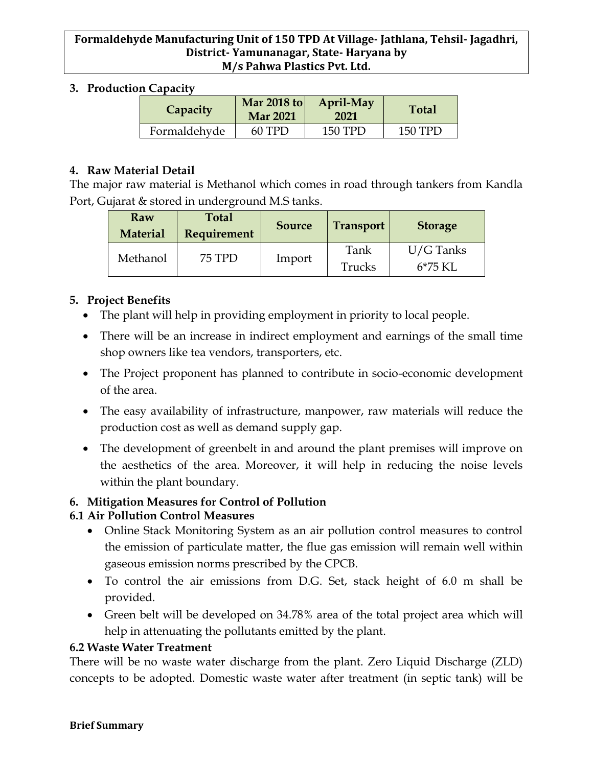### **Formaldehyde Manufacturing Unit of 150 TPD At Village- Jathlana, Tehsil- Jagadhri, District- Yamunanagar, State- Haryana by M/s Pahwa Plastics Pvt. Ltd.**

#### **3. Production Capacity**

| Capacity     | Mar 2018 to<br><b>Mar 2021</b> | April-May<br>2021 | <b>Total</b> |
|--------------|--------------------------------|-------------------|--------------|
| Formaldehyde | $60$ TPD                       | 150 TPD           | 150 TPD      |

### **4. Raw Material Detail**

The major raw material is Methanol which comes in road through tankers from Kandla Port, Gujarat & stored in underground M.S tanks.

| Raw<br><b>Material</b> | <b>Total</b><br><b>Requirement</b> | <b>Source</b> | <b>Transport</b> | <b>Storage</b>            |
|------------------------|------------------------------------|---------------|------------------|---------------------------|
| Methanol               | 75 TPD                             | Import        | Tank<br>Trucks   | $U/G$ Tanks<br>$6*75$ KI. |

## **5. Project Benefits**

- The plant will help in providing employment in priority to local people.
- There will be an increase in indirect employment and earnings of the small time shop owners like tea vendors, transporters, etc.
- The Project proponent has planned to contribute in socio-economic development of the area.
- The easy availability of infrastructure, manpower, raw materials will reduce the production cost as well as demand supply gap.
- The development of greenbelt in and around the plant premises will improve on the aesthetics of the area. Moreover, it will help in reducing the noise levels within the plant boundary.

# **6. Mitigation Measures for Control of Pollution**

# **6.1 Air Pollution Control Measures**

- Online Stack Monitoring System as an air pollution control measures to control the emission of particulate matter, the flue gas emission will remain well within gaseous emission norms prescribed by the CPCB.
- To control the air emissions from D.G. Set, stack height of 6.0 m shall be provided.
- Green belt will be developed on 34.78% area of the total project area which will help in attenuating the pollutants emitted by the plant.

## **6.2 Waste Water Treatment**

There will be no waste water discharge from the plant. Zero Liquid Discharge (ZLD) concepts to be adopted. Domestic waste water after treatment (in septic tank) will be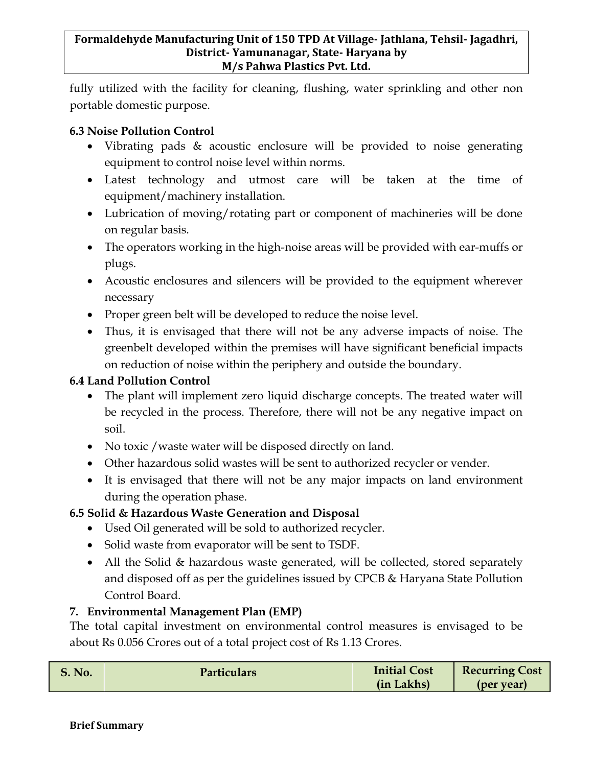fully utilized with the facility for cleaning, flushing, water sprinkling and other non portable domestic purpose.

## **6.3 Noise Pollution Control**

- Vibrating pads & acoustic enclosure will be provided to noise generating equipment to control noise level within norms.
- Latest technology and utmost care will be taken at the time of equipment/machinery installation.
- Lubrication of moving/rotating part or component of machineries will be done on regular basis.
- The operators working in the high-noise areas will be provided with ear-muffs or plugs.
- Acoustic enclosures and silencers will be provided to the equipment wherever necessary
- Proper green belt will be developed to reduce the noise level.
- Thus, it is envisaged that there will not be any adverse impacts of noise. The greenbelt developed within the premises will have significant beneficial impacts on reduction of noise within the periphery and outside the boundary.

## **6.4 Land Pollution Control**

- The plant will implement zero liquid discharge concepts. The treated water will be recycled in the process. Therefore, there will not be any negative impact on soil.
- No toxic / waste water will be disposed directly on land.
- Other hazardous solid wastes will be sent to authorized recycler or vender.
- It is envisaged that there will not be any major impacts on land environment during the operation phase.

# **6.5 Solid & Hazardous Waste Generation and Disposal**

- Used Oil generated will be sold to authorized recycler.
- Solid waste from evaporator will be sent to TSDF.
- All the Solid & hazardous waste generated, will be collected, stored separately and disposed off as per the guidelines issued by CPCB & Haryana State Pollution Control Board.

# **7. Environmental Management Plan (EMP)**

The total capital investment on environmental control measures is envisaged to be about Rs 0.056 Crores out of a total project cost of Rs 1.13 Crores.

| S. No. | <b>Particulars</b> | <b>Initial Cost</b> | <b>Recurring Cost</b> |
|--------|--------------------|---------------------|-----------------------|
|        |                    | (in Lakhs)          | (per year)            |